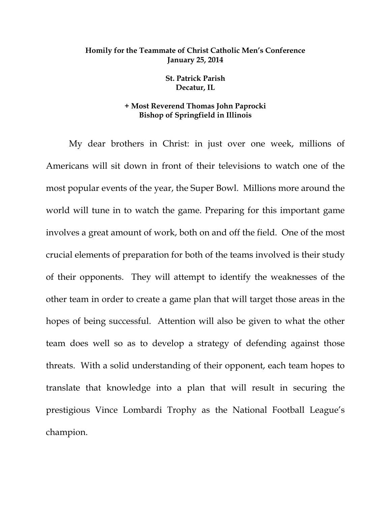## **Homily for the Teammate of Christ Catholic Men's Conference January 25, 2014**

**St. Patrick Parish Decatur, IL** 

## **+ Most Reverend Thomas John Paprocki Bishop of Springfield in Illinois**

My dear brothers in Christ: in just over one week, millions of Americans will sit down in front of their televisions to watch one of the most popular events of the year, the Super Bowl. Millions more around the world will tune in to watch the game. Preparing for this important game involves a great amount of work, both on and off the field. One of the most crucial elements of preparation for both of the teams involved is their study of their opponents. They will attempt to identify the weaknesses of the other team in order to create a game plan that will target those areas in the hopes of being successful. Attention will also be given to what the other team does well so as to develop a strategy of defending against those threats. With a solid understanding of their opponent, each team hopes to translate that knowledge into a plan that will result in securing the prestigious Vince Lombardi Trophy as the National Football League's champion.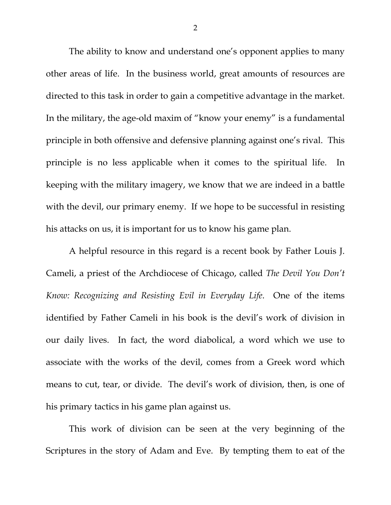The ability to know and understand one's opponent applies to many other areas of life. In the business world, great amounts of resources are directed to this task in order to gain a competitive advantage in the market. In the military, the age-old maxim of "know your enemy" is a fundamental principle in both offensive and defensive planning against one's rival. This principle is no less applicable when it comes to the spiritual life. In keeping with the military imagery, we know that we are indeed in a battle with the devil, our primary enemy. If we hope to be successful in resisting his attacks on us, it is important for us to know his game plan.

A helpful resource in this regard is a recent book by Father Louis J. Cameli, a priest of the Archdiocese of Chicago, called *The Devil You Don't Know: Recognizing and Resisting Evil in Everyday Life*. One of the items identified by Father Cameli in his book is the devil's work of division in our daily lives. In fact, the word diabolical, a word which we use to associate with the works of the devil, comes from a Greek word which means to cut, tear, or divide. The devil's work of division, then, is one of his primary tactics in his game plan against us.

This work of division can be seen at the very beginning of the Scriptures in the story of Adam and Eve. By tempting them to eat of the

2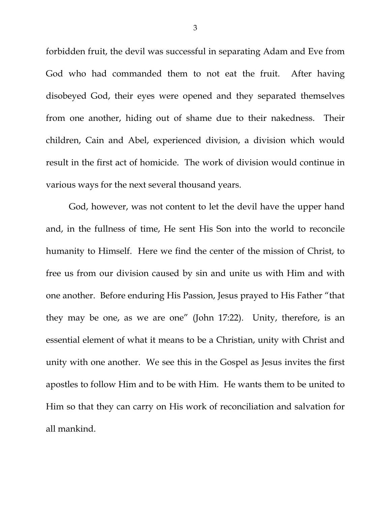forbidden fruit, the devil was successful in separating Adam and Eve from God who had commanded them to not eat the fruit. After having disobeyed God, their eyes were opened and they separated themselves from one another, hiding out of shame due to their nakedness. Their children, Cain and Abel, experienced division, a division which would result in the first act of homicide. The work of division would continue in various ways for the next several thousand years.

God, however, was not content to let the devil have the upper hand and, in the fullness of time, He sent His Son into the world to reconcile humanity to Himself. Here we find the center of the mission of Christ, to free us from our division caused by sin and unite us with Him and with one another. Before enduring His Passion, Jesus prayed to His Father "that they may be one, as we are one" (John 17:22). Unity, therefore, is an essential element of what it means to be a Christian, unity with Christ and unity with one another. We see this in the Gospel as Jesus invites the first apostles to follow Him and to be with Him. He wants them to be united to Him so that they can carry on His work of reconciliation and salvation for all mankind.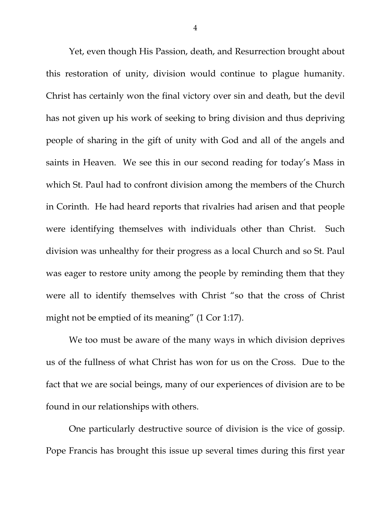Yet, even though His Passion, death, and Resurrection brought about this restoration of unity, division would continue to plague humanity. Christ has certainly won the final victory over sin and death, but the devil has not given up his work of seeking to bring division and thus depriving people of sharing in the gift of unity with God and all of the angels and saints in Heaven. We see this in our second reading for today's Mass in which St. Paul had to confront division among the members of the Church in Corinth. He had heard reports that rivalries had arisen and that people were identifying themselves with individuals other than Christ. Such division was unhealthy for their progress as a local Church and so St. Paul was eager to restore unity among the people by reminding them that they were all to identify themselves with Christ "so that the cross of Christ might not be emptied of its meaning" (1 Cor 1:17).

We too must be aware of the many ways in which division deprives us of the fullness of what Christ has won for us on the Cross. Due to the fact that we are social beings, many of our experiences of division are to be found in our relationships with others.

One particularly destructive source of division is the vice of gossip. Pope Francis has brought this issue up several times during this first year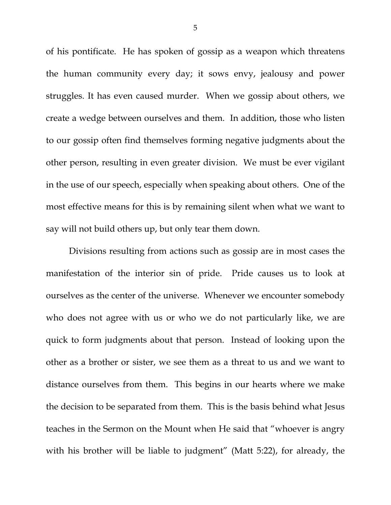of his pontificate. He has spoken of gossip as a weapon which threatens the human community every day; it sows envy, jealousy and power struggles. It has even caused murder. When we gossip about others, we create a wedge between ourselves and them. In addition, those who listen to our gossip often find themselves forming negative judgments about the other person, resulting in even greater division. We must be ever vigilant in the use of our speech, especially when speaking about others. One of the most effective means for this is by remaining silent when what we want to say will not build others up, but only tear them down.

Divisions resulting from actions such as gossip are in most cases the manifestation of the interior sin of pride. Pride causes us to look at ourselves as the center of the universe. Whenever we encounter somebody who does not agree with us or who we do not particularly like, we are quick to form judgments about that person. Instead of looking upon the other as a brother or sister, we see them as a threat to us and we want to distance ourselves from them. This begins in our hearts where we make the decision to be separated from them. This is the basis behind what Jesus teaches in the Sermon on the Mount when He said that "whoever is angry with his brother will be liable to judgment" (Matt 5:22), for already, the